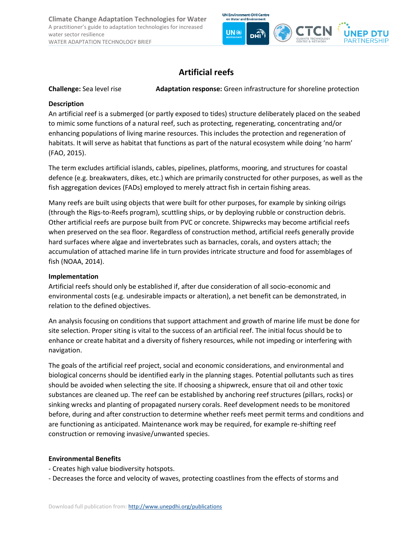**Climate Change Adaptation Technologies for Water** A practitioner's guide to adaptation technologies for increased water sector resilience WATER ADAPTATION TECHNOLOGY BRIEF



# **Artificial reefs**

**Challenge:** Sea level rise **Adaptation response:** Green infrastructure for shoreline protection

# **Description**

An artificial reef is a submerged (or partly exposed to tides) structure deliberately placed on the seabed to mimic some functions of a natural reef, such as protecting, regenerating, concentrating and/or enhancing populations of living marine resources. This includes the protection and regeneration of habitats. It will serve as habitat that functions as part of the natural ecosystem while doing 'no harm' (FAO, 2015).

The term excludes artificial islands, cables, pipelines, platforms, mooring, and structures for coastal defence (e.g. breakwaters, dikes, etc.) which are primarily constructed for other purposes, as well as the fish aggregation devices (FADs) employed to merely attract fish in certain fishing areas.

Many reefs are built using objects that were built for other purposes, for example by sinking oilrigs (through the Rigs-to-Reefs program), scuttling ships, or by deploying rubble or construction debris. Other artificial reefs are purpose built from PVC or concrete. Shipwrecks may become artificial reefs when preserved on the sea floor. Regardless of construction method, artificial reefs generally provide hard surfaces where algae and invertebrates such as barnacles, corals, and oysters attach; the accumulation of attached marine life in turn provides intricate structure and food for assemblages of fish (NOAA, 2014).

# **Implementation**

Artificial reefs should only be established if, after due consideration of all socio-economic and environmental costs (e.g. undesirable impacts or alteration), a net benefit can be demonstrated, in relation to the defined objectives.

An analysis focusing on conditions that support attachment and growth of marine life must be done for site selection. Proper siting is vital to the success of an artificial reef. The initial focus should be to enhance or create habitat and a diversity of fishery resources, while not impeding or interfering with navigation.

The goals of the artificial reef project, social and economic considerations, and environmental and biological concerns should be identified early in the planning stages. Potential pollutants such as tires should be avoided when selecting the site. If choosing a shipwreck, ensure that oil and other toxic substances are cleaned up. The reef can be established by anchoring reef structures (pillars, rocks) or sinking wrecks and planting of propagated nursery corals. Reef development needs to be monitored before, during and after construction to determine whether reefs meet permit terms and conditions and are functioning as anticipated. Maintenance work may be required, for example re-shifting reef construction or removing invasive/unwanted species.

# **Environmental Benefits**

- Creates high value biodiversity hotspots.
- Decreases the force and velocity of waves, protecting coastlines from the effects of storms and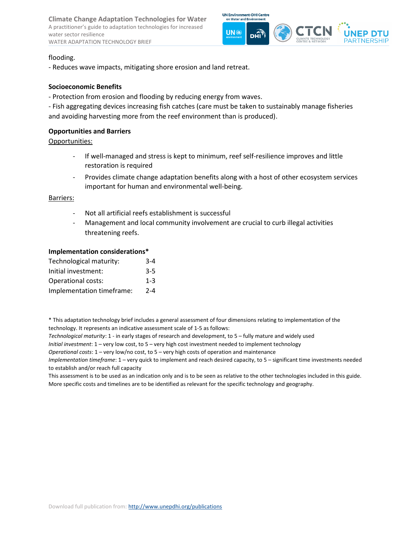**Climate Change Adaptation Technologies for Water** A practitioner's guide to adaptation technologies for increased water sector resilience WATER ADAPTATION TECHNOLOGY BRIEF



### flooding.

- Reduces wave impacts, mitigating shore erosion and land retreat.

## **Socioeconomic Benefits**

- Protection from erosion and flooding by reducing energy from waves.

- Fish aggregating devices increasing fish catches (care must be taken to sustainably manage fisheries and avoiding harvesting more from the reef environment than is produced).

## **Opportunities and Barriers**

Opportunities:

- If well-managed and stress is kept to minimum, reef self-resilience improves and little restoration is required
- Provides climate change adaptation benefits along with a host of other ecosystem services important for human and environmental well-being.

#### Barriers:

- Not all artificial reefs establishment is successful
- Management and local community involvement are crucial to curb illegal activities threatening reefs.

#### **Implementation considerations\***

| Technological maturity:   | $3 - 4$ |
|---------------------------|---------|
| Initial investment:       | $3 - 5$ |
| <b>Operational costs:</b> | $1 - 3$ |
| Implementation timeframe: | $2 - 4$ |

\* This adaptation technology brief includes a general assessment of four dimensions relating to implementation of the technology. It represents an indicative assessment scale of 1-5 as follows:

*Technological maturity*: 1 - in early stages of research and development, to 5 – fully mature and widely used

*Initial investment*: 1 – very low cost, to 5 – very high cost investment needed to implement technology

*Operational costs*: 1 – very low/no cost, to 5 – very high costs of operation and maintenance

*Implementation timeframe*: 1 – very quick to implement and reach desired capacity, to 5 – significant time investments needed to establish and/or reach full capacity

This assessment is to be used as an indication only and is to be seen as relative to the other technologies included in this guide. More specific costs and timelines are to be identified as relevant for the specific technology and geography.